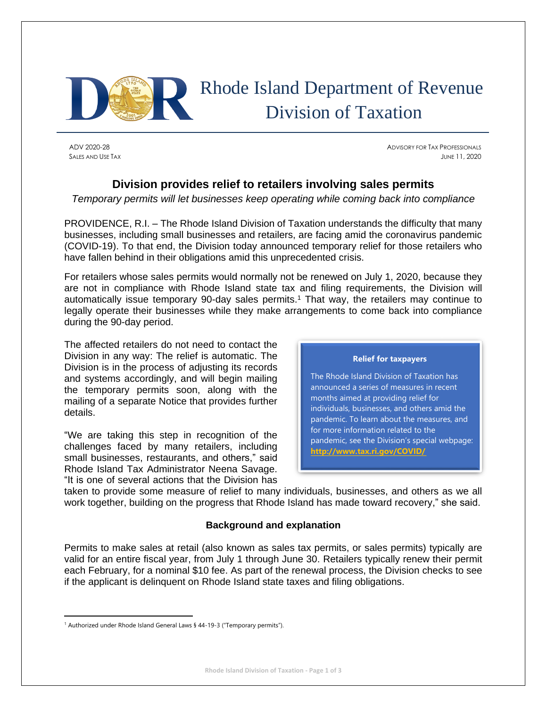

# Rhode Island Department of Revenue Division of Taxation

ADV 2020-28 ADVISORY FOR TAX PROFESSIONALS SALES AND USE TAX JUNE 11, 2020

### **Division provides relief to retailers involving sales permits**

*Temporary permits will let businesses keep operating while coming back into compliance*

PROVIDENCE, R.I. – The Rhode Island Division of Taxation understands the difficulty that many businesses, including small businesses and retailers, are facing amid the coronavirus pandemic (COVID-19). To that end, the Division today announced temporary relief for those retailers who have fallen behind in their obligations amid this unprecedented crisis.

For retailers whose sales permits would normally not be renewed on July 1, 2020, because they are not in compliance with Rhode Island state tax and filing requirements, the Division will automatically issue temporary 90-day sales permits.<sup>1</sup> That way, the retailers may continue to legally operate their businesses while they make arrangements to come back into compliance during the 90-day period.

The affected retailers do not need to contact the Division in any way: The relief is automatic. The Division is in the process of adjusting its records and systems accordingly, and will begin mailing the temporary permits soon, along with the mailing of a separate Notice that provides further details.

"We are taking this step in recognition of the challenges faced by many retailers, including small businesses, restaurants, and others," said Rhode Island Tax Administrator Neena Savage. "It is one of several actions that the Division has



taken to provide some measure of relief to many individuals, businesses, and others as we all work together, building on the progress that Rhode Island has made toward recovery," she said.

#### **Background and explanation**

Permits to make sales at retail (also known as sales tax permits, or sales permits) typically are valid for an entire fiscal year, from July 1 through June 30. Retailers typically renew their permit each February, for a nominal \$10 fee. As part of the renewal process, the Division checks to see if the applicant is delinquent on Rhode Island state taxes and filing obligations.

<sup>&</sup>lt;sup>1</sup> Authorized under Rhode Island General Laws § 44-19-3 ("Temporary permits").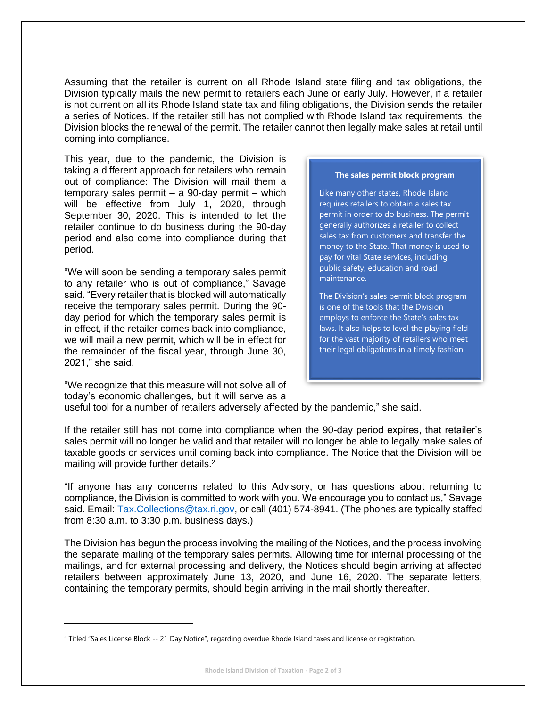Assuming that the retailer is current on all Rhode Island state filing and tax obligations, the Division typically mails the new permit to retailers each June or early July. However, if a retailer is not current on all its Rhode Island state tax and filing obligations, the Division sends the retailer a series of Notices. If the retailer still has not complied with Rhode Island tax requirements, the Division blocks the renewal of the permit. The retailer cannot then legally make sales at retail until coming into compliance.

This year, due to the pandemic, the Division is taking a different approach for retailers who remain out of compliance: The Division will mail them a temporary sales permit – a 90-day permit – which will be effective from July 1, 2020, through September 30, 2020. This is intended to let the retailer continue to do business during the 90-day period and also come into compliance during that period.

"We will soon be sending a temporary sales permit to any retailer who is out of compliance," Savage said. "Every retailer that is blocked will automatically receive the temporary sales permit. During the 90 day period for which the temporary sales permit is in effect, if the retailer comes back into compliance, we will mail a new permit, which will be in effect for the remainder of the fiscal year, through June 30, 2021," she said.

"We recognize that this measure will not solve all of

## **The sales permit block program**

Like many other states, Rhode Island requires retailers to obtain a sales tax permit in order to do business. The permit generally authorizes a retailer to collect sales tax from customers and transfer the money to the State. That money is used to pay for vital State services, including public safety, education and road maintenance.

The Division's sales permit block program is one of the tools that the Division employs to enforce the State's sales tax laws. It also helps to level the playing field for the vast majority of retailers who meet their legal obligations in a timely fashion.

today's economic challenges, but it will serve as a useful tool for a number of retailers adversely affected by the pandemic," she said.

If the retailer still has not come into compliance when the 90-day period expires, that retailer's sales permit will no longer be valid and that retailer will no longer be able to legally make sales of taxable goods or services until coming back into compliance. The Notice that the Division will be mailing will provide further details.<sup>2</sup>

"If anyone has any concerns related to this Advisory, or has questions about returning to compliance, the Division is committed to work with you. We encourage you to contact us," Savage said. Email: [Tax.Collections@tax.ri.gov,](mailto:Tax.Collections@tax.ri.gov) or call (401) 574-8941. (The phones are typically staffed from 8:30 a.m. to 3:30 p.m. business days.)

The Division has begun the process involving the mailing of the Notices, and the process involving the separate mailing of the temporary sales permits. Allowing time for internal processing of the mailings, and for external processing and delivery, the Notices should begin arriving at affected retailers between approximately June 13, 2020, and June 16, 2020. The separate letters, containing the temporary permits, should begin arriving in the mail shortly thereafter.

<sup>&</sup>lt;sup>2</sup> Titled "Sales License Block -- 21 Day Notice", regarding overdue Rhode Island taxes and license or registration.